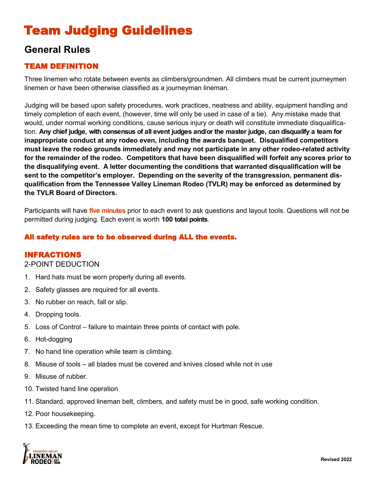# Team Judging Guidelines

## **General Rules**

### TEAM DEFINITION

Three linemen who rotate between events as climbers/groundmen. All climbers must be current journeymen linemen or have been otherwise classified as a journeyman lineman.

Judging will be based upon safety procedures, work practices, neatness and ability, equipment handling and timely completion of each event, (however, time will only be used in case of a tie). Any mistake made that would, under normal working conditions, cause serious injury or death will constitute immediate disqualification. **Any chief judge, with consensus of all event judges and/or the master judge, can disqualify a team for inappropriate conduct at any rodeo even, including the awards banquet. Disqualified competitors must leave the rodeo grounds immediately and may not participate in any other rodeo-related activity for the remainder of the rodeo. Competitors that have been disqualified will forfeit any scores prior to the disqualifying event. A letter documenting the conditions that warranted disqualification will be sent to the competitor's employer. Depending on the severity of the transgression, permanent disqualification from the Tennessee Valley Lineman Rodeo (TVLR) may be enforced as determined by the TVLR Board of Directors.** 

Participants will have **five minutes** prior to each event to ask questions and layout tools. Questions will not be permitted during judging. Each event is worth **100 total points**.

#### All safety rules are to be observed during ALL the events.

#### INFRACTIONS

#### 2-POINT DEDUCTION

- 1. Hard hats must be worn properly during all events.
- 2. Safety glasses are required for all events.
- 3. No rubber on reach, fall or slip.
- 4. Dropping tools.
- 5. Loss of Control failure to maintain three points of contact with pole.
- 6. Hot-dogging
- 7. No hand line operation while team is climbing.
- 8. Misuse of tools all blades must be covered and knives closed while not in use
- 9. Misuse of rubber.
- 10. Twisted hand line operation
- 11. Standard, approved lineman belt, climbers, and safety must be in good, safe working condition.
- 12. Poor housekeeping.
- 13. Exceeding the mean time to complete an event, except for Hurtman Rescue.

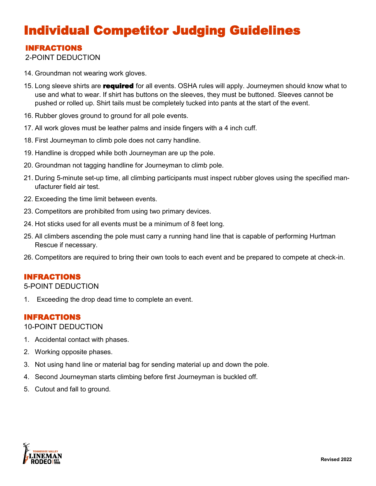# Individual Competitor Judging Guidelines

### INFRACTIONS

2-POINT DEDUCTION

- 14. Groundman not wearing work gloves.
- 15. Long sleeve shirts are **required** for all events. OSHA rules will apply. Journeymen should know what to use and what to wear. If shirt has buttons on the sleeves, they must be buttoned. Sleeves cannot be pushed or rolled up. Shirt tails must be completely tucked into pants at the start of the event.
- 16. Rubber gloves ground to ground for all pole events.
- 17. All work gloves must be leather palms and inside fingers with a 4 inch cuff.
- 18. First Journeyman to climb pole does not carry handline.
- 19. Handline is dropped while both Journeyman are up the pole.
- 20. Groundman not tagging handline for Journeyman to climb pole.
- 21. During 5-minute set-up time, all climbing participants must inspect rubber gloves using the specified manufacturer field air test.
- 22. Exceeding the time limit between events.
- 23. Competitors are prohibited from using two primary devices.
- 24. Hot sticks used for all events must be a minimum of 8 feet long.
- 25. All climbers ascending the pole must carry a running hand line that is capable of performing Hurtman Rescue if necessary.
- 26. Competitors are required to bring their own tools to each event and be prepared to compete at check-in.

#### INFRACTIONS

#### 5-POINT DEDUCTION

1. Exceeding the drop dead time to complete an event.

#### INFRACTIONS

#### 10-POINT DEDUCTION

- 1. Accidental contact with phases.
- 2. Working opposite phases.
- 3. Not using hand line or material bag for sending material up and down the pole.
- 4. Second Journeyman starts climbing before first Journeyman is buckled off.
- 5. Cutout and fall to ground.